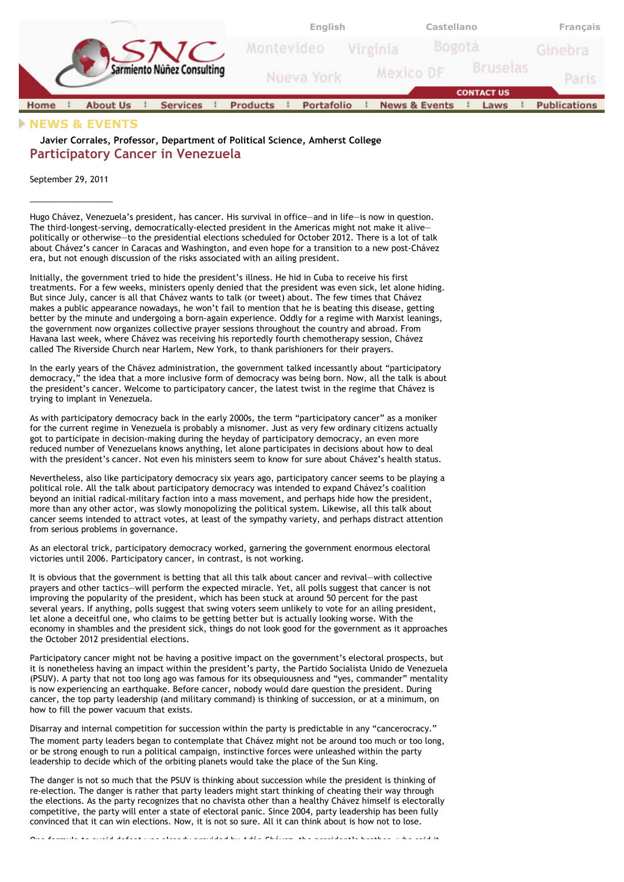

## **NEWS & EVENTS**

**Javier Corrales, Professor, Department of Political Science, Amherst College Participatory Cancer in Venezuela**

September 29, 2011  $\overline{\phantom{a}}$  , where  $\overline{\phantom{a}}$  , where  $\overline{\phantom{a}}$ 

Hugo Chávez, Venezuela's president, has cancer. His survival in office—and in life—is now in question. The third-longest-serving, democratically-elected president in the Americas might not make it alive politically or otherwise—to the presidential elections scheduled for October 2012. There is a lot of talk about Chávez's cancer in Caracas and Washington, and even hope for a transition to a new post-Chávez era, but not enough discussion of the risks associated with an ailing president.

Initially, the government tried to hide the president's illness. He hid in Cuba to receive his first treatments. For a few weeks, ministers openly denied that the president was even sick, let alone hiding. But since July, cancer is all that Chávez wants to talk (or tweet) about. The few times that Chávez makes a public appearance nowadays, he won't fail to mention that he is beating this disease, getting better by the minute and undergoing a born-again experience. Oddly for a regime with Marxist leanings, the government now organizes collective prayer sessions throughout the country and abroad. From Havana last week, where Chávez was receiving his reportedly fourth chemotherapy session, Chávez called The Riverside Church near Harlem, New York, to thank parishioners for their prayers.

In the early years of the Chávez administration, the government talked incessantly about "participatory democracy," the idea that a more inclusive form of democracy was being born. Now, all the talk is about the president's cancer. Welcome to participatory cancer, the latest twist in the regime that Chávez is trying to implant in Venezuela.

As with participatory democracy back in the early 2000s, the term "participatory cancer" as a moniker for the current regime in Venezuela is probably a misnomer. Just as very few ordinary citizens actually got to participate in decision-making during the heyday of participatory democracy, an even more reduced number of Venezuelans knows anything, let alone participates in decisions about how to deal with the president's cancer. Not even his ministers seem to know for sure about Chávez's health status.

Nevertheless, also like participatory democracy six years ago, participatory cancer seems to be playing a political role. All the talk about participatory democracy was intended to expand Chávez's coalition beyond an initial radical-military faction into a mass movement, and perhaps hide how the president, more than any other actor, was slowly monopolizing the political system. Likewise, all this talk about cancer seems intended to attract votes, at least of the sympathy variety, and perhaps distract attention from serious problems in governance.

As an electoral trick, participatory democracy worked, garnering the government enormous electoral victories until 2006. Participatory cancer, in contrast, is not working.

It is obvious that the government is betting that all this talk about cancer and revival—with collective prayers and other tactics—will perform the expected miracle. Yet, all polls suggest that cancer is not improving the popularity of the president, which has been stuck at around 50 percent for the past several years. If anything, polls suggest that swing voters seem unlikely to vote for an ailing president, let alone a deceitful one, who claims to be getting better but is actually looking worse. With the economy in shambles and the president sick, things do not look good for the government as it approaches the October 2012 presidential elections.

Participatory cancer might not be having a positive impact on the government's electoral prospects, but it is nonetheless having an impact within the president's party, the Partido Socialista Unido de Venezuela (PSUV). A party that not too long ago was famous for its obsequiousness and "yes, commander" mentality is now experiencing an earthquake. Before cancer, nobody would dare question the president. During cancer, the top party leadership (and military command) is thinking of succession, or at a minimum, on how to fill the power vacuum that exists.

Disarray and internal competition for succession within the party is predictable in any "cancerocracy." The moment party leaders began to contemplate that Chávez might not be around too much or too long, or be strong enough to run a political campaign, instinctive forces were unleashed within the party leadership to decide which of the orbiting planets would take the place of the Sun King.

The danger is not so much that the PSUV is thinking about succession while the president is thinking of re-election. The danger is rather that party leaders might start thinking of cheating their way through the elections. As the party recognizes that no chavista other than a healthy Chávez himself is electorally competitive, the party will enter a state of electoral panic. Since 2004, party leadership has been fully convinced that it can win elections. Now, it is not so sure. All it can think about is how not to lose.

One formula to avoid defeat was already provided by Adán Chávez, the president's brother, who said it